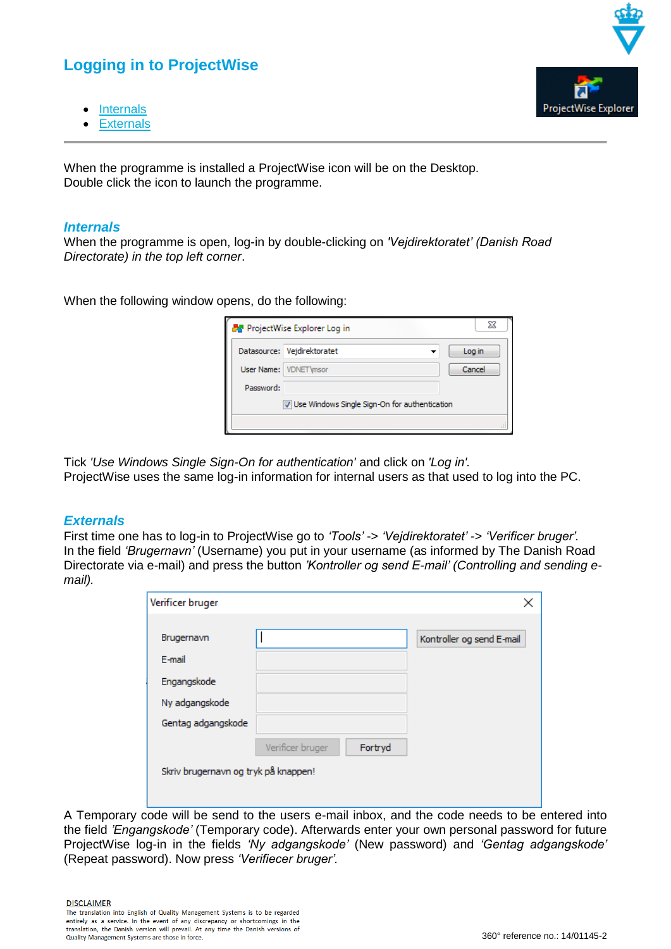## **Logging in to ProjectWise**

- [Internals](#page-0-0)
- **[Externals](#page-0-1)**

When the programme is installed a ProjectWise icon will be on the Desktop. Double click the icon to launch the programme.

## <span id="page-0-0"></span>*Internals*

When the programme is open, log-in by double-clicking on *'Vejdirektoratet' (Danish Road Directorate) in the top left corner*.

When the following window opens, do the following:

| <b>A</b> ProjectWise Explorer Log in          |                             |        |  |  |  |
|-----------------------------------------------|-----------------------------|--------|--|--|--|
|                                               | Datasource: Vejdirektoratet | Log in |  |  |  |
|                                               | User Name: VDNET \msor      | Cancel |  |  |  |
| Password:                                     |                             |        |  |  |  |
| Use Windows Single Sign-On for authentication |                             |        |  |  |  |
|                                               |                             |        |  |  |  |

Tick *'Use Windows Single Sign-On for authentication'* and click on *'Log in'.* ProjectWise uses the same log-in information for internal users as that used to log into the PC.

## <span id="page-0-1"></span>*Externals*

First time one has to log-in to ProjectWise go to *'Tools'* -> *'Vejdirektoratet'* -> *'Verificer bruger'.* In the field *'Brugernavn'* (Username) you put in your username (as informed by The Danish Road Directorate via e-mail) and press the button *'Kontroller og send E-mail' (Controlling and sending email).*

| Verificer bruger                     |                  |         | ×                         |  |
|--------------------------------------|------------------|---------|---------------------------|--|
|                                      |                  |         |                           |  |
| Brugernavn                           |                  |         | Kontroller og send E-mail |  |
| E-mail                               |                  |         |                           |  |
| Engangskode                          |                  |         |                           |  |
| Ny adgangskode                       |                  |         |                           |  |
| Gentag adgangskode                   |                  |         |                           |  |
|                                      | Verificer bruger | Fortryd |                           |  |
| Skriv brugernavn og tryk på knappen! |                  |         |                           |  |

A Temporary code will be send to the users e-mail inbox, and the code needs to be entered into the field *'Engangskode'* (Temporary code). Afterwards enter your own personal password for future ProjectWise log-in in the fields *'Ny adgangskode'* (New password) and *'Gentag adgangskode'*  (Repeat password). Now press *'Verifiecer bruger'.*

**DISCLAIMER** 

The translation into English of Quality Management Systems is to be regarded entirely as a service. In the event of any discrepancy or shortcomings in the translation, the Danish version will prevail. At any time the Danish versions of Quality Management Systems are those in force.